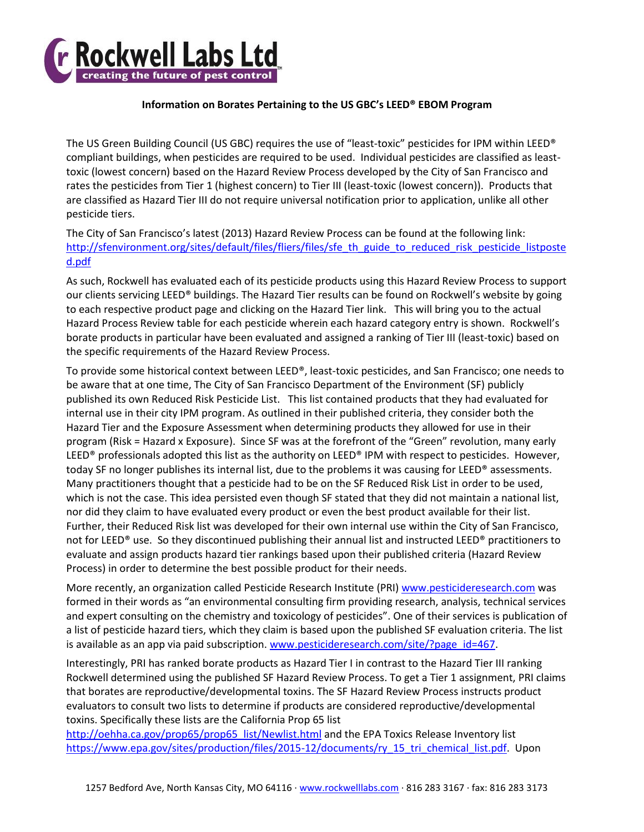

## **Information on Borates Pertaining to the US GBC's LEED® EBOM Program**

The US Green Building Council (US GBC) requires the use of "least-toxic" pesticides for IPM within LEED® compliant buildings, when pesticides are required to be used. Individual pesticides are classified as leasttoxic (lowest concern) based on the Hazard Review Process developed by the City of San Francisco and rates the pesticides from Tier 1 (highest concern) to Tier III (least-toxic (lowest concern)). Products that are classified as Hazard Tier III do not require universal notification prior to application, unlike all other pesticide tiers.

The City of San Francisco's latest (2013) Hazard Review Process can be found at the following link: [http://sfenvironment.org/sites/default/files/fliers/files/sfe\\_th\\_guide\\_to\\_reduced\\_risk\\_pesticide\\_listposte](http://sfenvironment.org/sites/default/files/fliers/files/sfe_th_guide_to_reduced_risk_pesticide_listposted.pdf) [d.pdf](http://sfenvironment.org/sites/default/files/fliers/files/sfe_th_guide_to_reduced_risk_pesticide_listposted.pdf)

As such, Rockwell has evaluated each of its pesticide products using this Hazard Review Process to support our clients servicing LEED® buildings. The Hazard Tier results can be found on Rockwell's website by going to each respective product page and clicking on the Hazard Tier link. This will bring you to the actual Hazard Process Review table for each pesticide wherein each hazard category entry is shown. Rockwell's borate products in particular have been evaluated and assigned a ranking of Tier III (least-toxic) based on the specific requirements of the Hazard Review Process.

To provide some historical context between LEED®, least-toxic pesticides, and San Francisco; one needs to be aware that at one time, The City of San Francisco Department of the Environment (SF) publicly published its own Reduced Risk Pesticide List. This list contained products that they had evaluated for internal use in their city IPM program. As outlined in their published criteria, they consider both the Hazard Tier and the Exposure Assessment when determining products they allowed for use in their program (Risk = Hazard x Exposure). Since SF was at the forefront of the "Green" revolution, many early LEED® professionals adopted this list as the authority on LEED® IPM with respect to pesticides. However, today SF no longer publishes its internal list, due to the problems it was causing for LEED® assessments. Many practitioners thought that a pesticide had to be on the SF Reduced Risk List in order to be used, which is not the case. This idea persisted even though SF stated that they did not maintain a national list, nor did they claim to have evaluated every product or even the best product available for their list. Further, their Reduced Risk list was developed for their own internal use within the City of San Francisco, not for LEED® use. So they discontinued publishing their annual list and instructed LEED® practitioners to evaluate and assign products hazard tier rankings based upon their published criteria (Hazard Review Process) in order to determine the best possible product for their needs.

More recently, an organization called Pesticide Research Institute (PRI) [www.pesticideresearch.com](http://www.pesticideresearch.com/) was formed in their words as "an environmental consulting firm providing research, analysis, technical services and expert consulting on the chemistry and toxicology of pesticides". One of their services is publication of a list of pesticide hazard tiers, which they claim is based upon the published SF evaluation criteria. The list is available as an app via paid subscription[. www.pesticideresearch.com/site/?page\\_id=467.](http://www.pesticideresearch.com/site/?page_id=467)

Interestingly, PRI has ranked borate products as Hazard Tier I in contrast to the Hazard Tier III ranking Rockwell determined using the published SF Hazard Review Process. To get a Tier 1 assignment, PRI claims that borates are reproductive/developmental toxins. The SF Hazard Review Process instructs product evaluators to consult two lists to determine if products are considered reproductive/developmental toxins. Specifically these lists are the California Prop 65 list

[http://oehha.ca.gov/prop65/prop65\\_list/Newlist.html](http://oehha.ca.gov/prop65/prop65_list/Newlist.html) and the EPA Toxics Release Inventory list [https://www.epa.gov/sites/production/files/2015-12/documents/ry\\_15\\_tri\\_chemical\\_list.pdf.](https://www.epa.gov/sites/production/files/2015-12/documents/ry_15_tri_chemical_list.pdf) Upon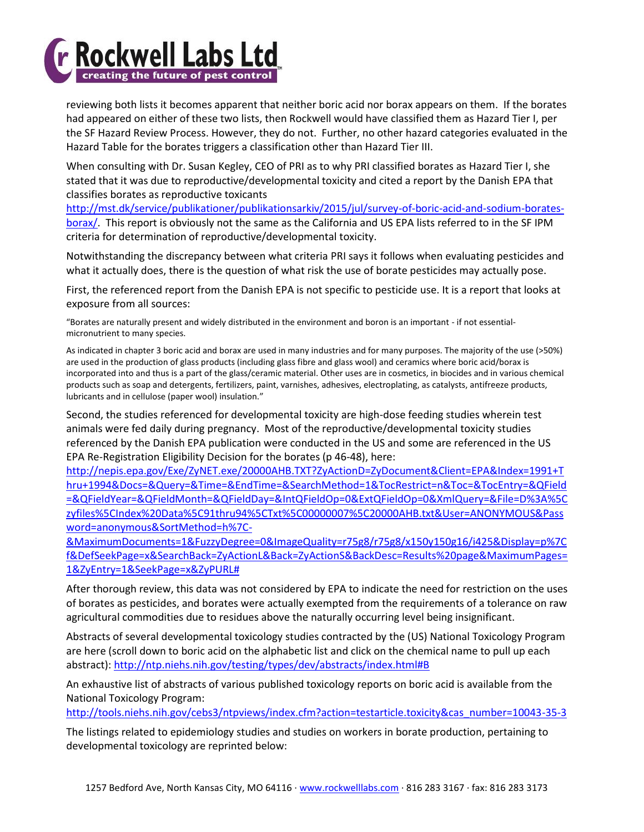

reviewing both lists it becomes apparent that neither boric acid nor borax appears on them. If the borates had appeared on either of these two lists, then Rockwell would have classified them as Hazard Tier I, per the SF Hazard Review Process. However, they do not. Further, no other hazard categories evaluated in the Hazard Table for the borates triggers a classification other than Hazard Tier III.

When consulting with Dr. Susan Kegley, CEO of PRI as to why PRI classified borates as Hazard Tier I, she stated that it was due to reproductive/developmental toxicity and cited a report by the Danish EPA that classifies borates as reproductive toxicants

[http://mst.dk/service/publikationer/publikationsarkiv/2015/jul/survey-of-boric-acid-and-sodium-borates](http://mst.dk/service/publikationer/publikationsarkiv/2015/jul/survey-of-boric-acid-and-sodium-borates-borax/)[borax/.](http://mst.dk/service/publikationer/publikationsarkiv/2015/jul/survey-of-boric-acid-and-sodium-borates-borax/) This report is obviously not the same as the California and US EPA lists referred to in the SF IPM criteria for determination of reproductive/developmental toxicity.

Notwithstanding the discrepancy between what criteria PRI says it follows when evaluating pesticides and what it actually does, there is the question of what risk the use of borate pesticides may actually pose.

First, the referenced report from the Danish EPA is not specific to pesticide use. It is a report that looks at exposure from all sources:

"Borates are naturally present and widely distributed in the environment and boron is an important - if not essentialmicronutrient to many species.

As indicated in chapter 3 boric acid and borax are used in many industries and for many purposes. The majority of the use (>50%) are used in the production of glass products (including glass fibre and glass wool) and ceramics where boric acid/borax is incorporated into and thus is a part of the glass/ceramic material. Other uses are in cosmetics, in biocides and in various chemical products such as soap and detergents, fertilizers, paint, varnishes, adhesives, electroplating, as catalysts, antifreeze products, lubricants and in cellulose (paper wool) insulation."

Second, the studies referenced for developmental toxicity are high-dose feeding studies wherein test animals were fed daily during pregnancy. Most of the reproductive/developmental toxicity studies referenced by the Danish EPA publication were conducted in the US and some are referenced in the US EPA Re-Registration Eligibility Decision for the borates (p 46-48), here:

[http://nepis.epa.gov/Exe/ZyNET.exe/20000AHB.TXT?ZyActionD=ZyDocument&Client=EPA&Index=1991+T](http://nepis.epa.gov/Exe/ZyNET.exe/20000AHB.TXT?ZyActionD=ZyDocument&Client=EPA&Index=1991+Thru+1994&Docs=&Query=&Time=&EndTime=&SearchMethod=1&TocRestrict=n&Toc=&TocEntry=&QField=&QFieldYear=&QFieldMonth=&QFieldDay=&IntQFieldOp=0&ExtQFieldOp=0&XmlQuery=&File=D%3A%5Czyfiles%5CIndex%20Data%5C91thru94%5CTxt%5C00000007%5C20000AHB.txt&User=ANONYMOUS&Password=anonymous&SortMethod=h%7C-&MaximumDocuments=1&FuzzyDegree=0&ImageQuality=r75g8/r75g8/x150y150g16/i425&Display=p%7Cf&DefSeekPage=x&SearchBack=ZyActionL&Back=ZyActionS&BackDesc=Results%20page&MaximumPages=1&ZyEntry=1&SeekPage=x&ZyPURL) [hru+1994&Docs=&Query=&Time=&EndTime=&SearchMethod=1&TocRestrict=n&Toc=&TocEntry=&QField](http://nepis.epa.gov/Exe/ZyNET.exe/20000AHB.TXT?ZyActionD=ZyDocument&Client=EPA&Index=1991+Thru+1994&Docs=&Query=&Time=&EndTime=&SearchMethod=1&TocRestrict=n&Toc=&TocEntry=&QField=&QFieldYear=&QFieldMonth=&QFieldDay=&IntQFieldOp=0&ExtQFieldOp=0&XmlQuery=&File=D%3A%5Czyfiles%5CIndex%20Data%5C91thru94%5CTxt%5C00000007%5C20000AHB.txt&User=ANONYMOUS&Password=anonymous&SortMethod=h%7C-&MaximumDocuments=1&FuzzyDegree=0&ImageQuality=r75g8/r75g8/x150y150g16/i425&Display=p%7Cf&DefSeekPage=x&SearchBack=ZyActionL&Back=ZyActionS&BackDesc=Results%20page&MaximumPages=1&ZyEntry=1&SeekPage=x&ZyPURL) [=&QFieldYear=&QFieldMonth=&QFieldDay=&IntQFieldOp=0&ExtQFieldOp=0&XmlQuery=&File=D%3A%5C](http://nepis.epa.gov/Exe/ZyNET.exe/20000AHB.TXT?ZyActionD=ZyDocument&Client=EPA&Index=1991+Thru+1994&Docs=&Query=&Time=&EndTime=&SearchMethod=1&TocRestrict=n&Toc=&TocEntry=&QField=&QFieldYear=&QFieldMonth=&QFieldDay=&IntQFieldOp=0&ExtQFieldOp=0&XmlQuery=&File=D%3A%5Czyfiles%5CIndex%20Data%5C91thru94%5CTxt%5C00000007%5C20000AHB.txt&User=ANONYMOUS&Password=anonymous&SortMethod=h%7C-&MaximumDocuments=1&FuzzyDegree=0&ImageQuality=r75g8/r75g8/x150y150g16/i425&Display=p%7Cf&DefSeekPage=x&SearchBack=ZyActionL&Back=ZyActionS&BackDesc=Results%20page&MaximumPages=1&ZyEntry=1&SeekPage=x&ZyPURL) [zyfiles%5CIndex%20Data%5C91thru94%5CTxt%5C00000007%5C20000AHB.txt&User=ANONYMOUS&Pass](http://nepis.epa.gov/Exe/ZyNET.exe/20000AHB.TXT?ZyActionD=ZyDocument&Client=EPA&Index=1991+Thru+1994&Docs=&Query=&Time=&EndTime=&SearchMethod=1&TocRestrict=n&Toc=&TocEntry=&QField=&QFieldYear=&QFieldMonth=&QFieldDay=&IntQFieldOp=0&ExtQFieldOp=0&XmlQuery=&File=D%3A%5Czyfiles%5CIndex%20Data%5C91thru94%5CTxt%5C00000007%5C20000AHB.txt&User=ANONYMOUS&Password=anonymous&SortMethod=h%7C-&MaximumDocuments=1&FuzzyDegree=0&ImageQuality=r75g8/r75g8/x150y150g16/i425&Display=p%7Cf&DefSeekPage=x&SearchBack=ZyActionL&Back=ZyActionS&BackDesc=Results%20page&MaximumPages=1&ZyEntry=1&SeekPage=x&ZyPURL) [word=anonymous&SortMethod=h%7C-](http://nepis.epa.gov/Exe/ZyNET.exe/20000AHB.TXT?ZyActionD=ZyDocument&Client=EPA&Index=1991+Thru+1994&Docs=&Query=&Time=&EndTime=&SearchMethod=1&TocRestrict=n&Toc=&TocEntry=&QField=&QFieldYear=&QFieldMonth=&QFieldDay=&IntQFieldOp=0&ExtQFieldOp=0&XmlQuery=&File=D%3A%5Czyfiles%5CIndex%20Data%5C91thru94%5CTxt%5C00000007%5C20000AHB.txt&User=ANONYMOUS&Password=anonymous&SortMethod=h%7C-&MaximumDocuments=1&FuzzyDegree=0&ImageQuality=r75g8/r75g8/x150y150g16/i425&Display=p%7Cf&DefSeekPage=x&SearchBack=ZyActionL&Back=ZyActionS&BackDesc=Results%20page&MaximumPages=1&ZyEntry=1&SeekPage=x&ZyPURL)

[&MaximumDocuments=1&FuzzyDegree=0&ImageQuality=r75g8/r75g8/x150y150g16/i425&Display=p%7C](http://nepis.epa.gov/Exe/ZyNET.exe/20000AHB.TXT?ZyActionD=ZyDocument&Client=EPA&Index=1991+Thru+1994&Docs=&Query=&Time=&EndTime=&SearchMethod=1&TocRestrict=n&Toc=&TocEntry=&QField=&QFieldYear=&QFieldMonth=&QFieldDay=&IntQFieldOp=0&ExtQFieldOp=0&XmlQuery=&File=D%3A%5Czyfiles%5CIndex%20Data%5C91thru94%5CTxt%5C00000007%5C20000AHB.txt&User=ANONYMOUS&Password=anonymous&SortMethod=h%7C-&MaximumDocuments=1&FuzzyDegree=0&ImageQuality=r75g8/r75g8/x150y150g16/i425&Display=p%7Cf&DefSeekPage=x&SearchBack=ZyActionL&Back=ZyActionS&BackDesc=Results%20page&MaximumPages=1&ZyEntry=1&SeekPage=x&ZyPURL) [f&DefSeekPage=x&SearchBack=ZyActionL&Back=ZyActionS&BackDesc=Results%20page&MaximumPages=](http://nepis.epa.gov/Exe/ZyNET.exe/20000AHB.TXT?ZyActionD=ZyDocument&Client=EPA&Index=1991+Thru+1994&Docs=&Query=&Time=&EndTime=&SearchMethod=1&TocRestrict=n&Toc=&TocEntry=&QField=&QFieldYear=&QFieldMonth=&QFieldDay=&IntQFieldOp=0&ExtQFieldOp=0&XmlQuery=&File=D%3A%5Czyfiles%5CIndex%20Data%5C91thru94%5CTxt%5C00000007%5C20000AHB.txt&User=ANONYMOUS&Password=anonymous&SortMethod=h%7C-&MaximumDocuments=1&FuzzyDegree=0&ImageQuality=r75g8/r75g8/x150y150g16/i425&Display=p%7Cf&DefSeekPage=x&SearchBack=ZyActionL&Back=ZyActionS&BackDesc=Results%20page&MaximumPages=1&ZyEntry=1&SeekPage=x&ZyPURL) [1&ZyEntry=1&SeekPage=x&ZyPURL#](http://nepis.epa.gov/Exe/ZyNET.exe/20000AHB.TXT?ZyActionD=ZyDocument&Client=EPA&Index=1991+Thru+1994&Docs=&Query=&Time=&EndTime=&SearchMethod=1&TocRestrict=n&Toc=&TocEntry=&QField=&QFieldYear=&QFieldMonth=&QFieldDay=&IntQFieldOp=0&ExtQFieldOp=0&XmlQuery=&File=D%3A%5Czyfiles%5CIndex%20Data%5C91thru94%5CTxt%5C00000007%5C20000AHB.txt&User=ANONYMOUS&Password=anonymous&SortMethod=h%7C-&MaximumDocuments=1&FuzzyDegree=0&ImageQuality=r75g8/r75g8/x150y150g16/i425&Display=p%7Cf&DefSeekPage=x&SearchBack=ZyActionL&Back=ZyActionS&BackDesc=Results%20page&MaximumPages=1&ZyEntry=1&SeekPage=x&ZyPURL)

After thorough review, this data was not considered by EPA to indicate the need for restriction on the uses of borates as pesticides, and borates were actually exempted from the requirements of a tolerance on raw agricultural commodities due to residues above the naturally occurring level being insignificant.

Abstracts of several developmental toxicology studies contracted by the (US) National Toxicology Program are here (scroll down to boric acid on the alphabetic list and click on the chemical name to pull up each abstract):<http://ntp.niehs.nih.gov/testing/types/dev/abstracts/index.html#B>

An exhaustive list of abstracts of various published toxicology reports on boric acid is available from the National Toxicology Program:

[http://tools.niehs.nih.gov/cebs3/ntpviews/index.cfm?action=testarticle.toxicity&cas\\_number=10043-35-3](http://tools.niehs.nih.gov/cebs3/ntpviews/index.cfm?action=testarticle.toxicity&cas_number=10043-35-3)

The listings related to epidemiology studies and studies on workers in borate production, pertaining to developmental toxicology are reprinted below: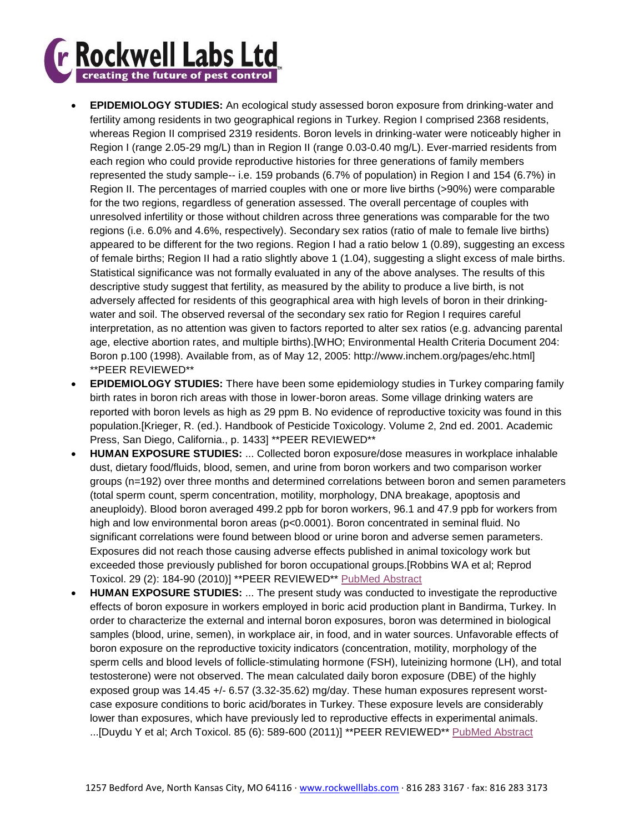

- **EPIDEMIOLOGY STUDIES:** An ecological study assessed boron exposure from drinking-water and fertility among residents in two geographical regions in Turkey. Region I comprised 2368 residents, whereas Region II comprised 2319 residents. Boron levels in drinking-water were noticeably higher in Region I (range 2.05-29 mg/L) than in Region II (range 0.03-0.40 mg/L). Ever-married residents from each region who could provide reproductive histories for three generations of family members represented the study sample-- i.e. 159 probands (6.7% of population) in Region I and 154 (6.7%) in Region II. The percentages of married couples with one or more live births (>90%) were comparable for the two regions, regardless of generation assessed. The overall percentage of couples with unresolved infertility or those without children across three generations was comparable for the two regions (i.e. 6.0% and 4.6%, respectively). Secondary sex ratios (ratio of male to female live births) appeared to be different for the two regions. Region I had a ratio below 1 (0.89), suggesting an excess of female births; Region II had a ratio slightly above 1 (1.04), suggesting a slight excess of male births. Statistical significance was not formally evaluated in any of the above analyses. The results of this descriptive study suggest that fertility, as measured by the ability to produce a live birth, is not adversely affected for residents of this geographical area with high levels of boron in their drinkingwater and soil. The observed reversal of the secondary sex ratio for Region I requires careful interpretation, as no attention was given to factors reported to alter sex ratios (e.g. advancing parental age, elective abortion rates, and multiple births).[WHO; Environmental Health Criteria Document 204: Boron p.100 (1998). Available from, as of May 12, 2005: http://www.inchem.org/pages/ehc.html] \*\*PEER REVIEWED\*\*
- **EPIDEMIOLOGY STUDIES:** There have been some epidemiology studies in Turkey comparing family birth rates in boron rich areas with those in lower-boron areas. Some village drinking waters are reported with boron levels as high as 29 ppm B. No evidence of reproductive toxicity was found in this population.[Krieger, R. (ed.). Handbook of Pesticide Toxicology. Volume 2, 2nd ed. 2001. Academic Press, San Diego, California., p. 1433] \*\*PEER REVIEWED\*\*
- **HUMAN EXPOSURE STUDIES:** ... Collected boron exposure/dose measures in workplace inhalable dust, dietary food/fluids, blood, semen, and urine from boron workers and two comparison worker groups (n=192) over three months and determined correlations between boron and semen parameters (total sperm count, sperm concentration, motility, morphology, DNA breakage, apoptosis and aneuploidy). Blood boron averaged 499.2 ppb for boron workers, 96.1 and 47.9 ppb for workers from high and low environmental boron areas (p<0.0001). Boron concentrated in seminal fluid. No significant correlations were found between blood or urine boron and adverse semen parameters. Exposures did not reach those causing adverse effects published in animal toxicology work but exceeded those previously published for boron occupational groups.[Robbins WA et al; Reprod Toxicol. 29 (2): 184-90 (2010)] \*\*PEER REVIEWED\*\* [PubMed Abstract](http://www.ncbi.nlm.nih.gov/pubmed/19962437?dopt=Abstract)
- **HUMAN EXPOSURE STUDIES:** ... The present study was conducted to investigate the reproductive effects of boron exposure in workers employed in boric acid production plant in Bandirma, Turkey. In order to characterize the external and internal boron exposures, boron was determined in biological samples (blood, urine, semen), in workplace air, in food, and in water sources. Unfavorable effects of boron exposure on the reproductive toxicity indicators (concentration, motility, morphology of the sperm cells and blood levels of follicle-stimulating hormone (FSH), luteinizing hormone (LH), and total testosterone) were not observed. The mean calculated daily boron exposure (DBE) of the highly exposed group was 14.45 +/- 6.57 (3.32-35.62) mg/day. These human exposures represent worstcase exposure conditions to boric acid/borates in Turkey. These exposure levels are considerably lower than exposures, which have previously led to reproductive effects in experimental animals. ...[Duydu Y et al; Arch Toxicol. 85 (6): 589-600 (2011)] \*\*PEER REVIEWED\*\* [PubMed Abstract](http://www.ncbi.nlm.nih.gov/pubmed/21424392?dopt=Abstract)